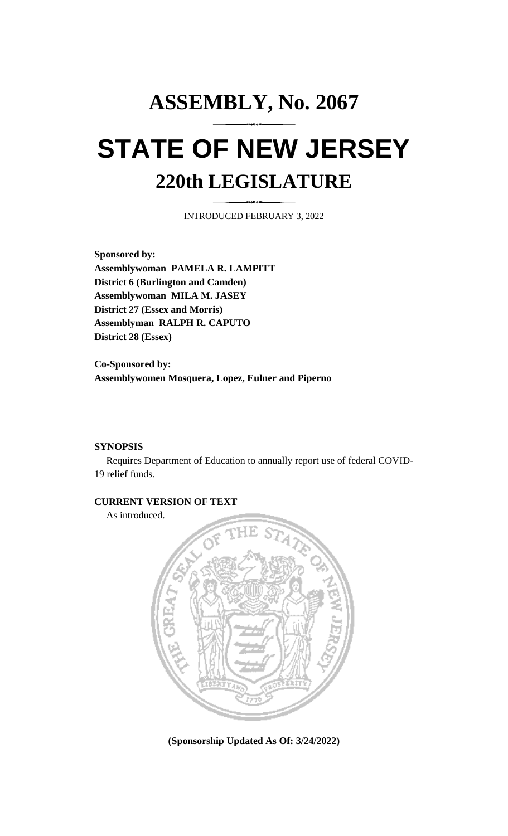## **ASSEMBLY, No. 2067 STATE OF NEW JERSEY 220th LEGISLATURE**

INTRODUCED FEBRUARY 3, 2022

**Sponsored by: Assemblywoman PAMELA R. LAMPITT District 6 (Burlington and Camden) Assemblywoman MILA M. JASEY District 27 (Essex and Morris) Assemblyman RALPH R. CAPUTO District 28 (Essex)**

**Co-Sponsored by: Assemblywomen Mosquera, Lopez, Eulner and Piperno**

## **SYNOPSIS**

Requires Department of Education to annually report use of federal COVID-19 relief funds.

## **CURRENT VERSION OF TEXT**

As introduced.



**(Sponsorship Updated As Of: 3/24/2022)**